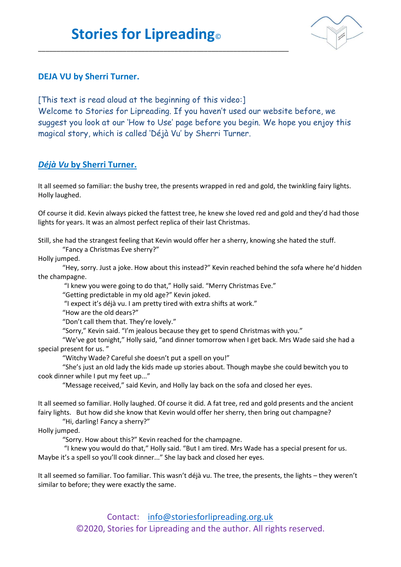\_\_\_\_\_\_\_\_\_\_\_\_\_\_\_\_\_\_\_\_\_\_\_\_\_\_\_\_\_\_\_\_\_\_\_\_\_\_\_\_\_\_\_\_\_\_\_\_\_\_\_\_\_\_\_\_\_\_\_\_\_\_\_\_\_\_\_\_



## **DEJA VU by Sherri Turner.**

[This text is read aloud at the beginning of this video:] Welcome to Stories for Lipreading. If you haven't used our website before, we suggest you look at our 'How to Use' page before you begin. We hope you enjoy this magical story, which is called 'Déjà Vu' by Sherri Turner.

## *Déjà Vu* **by Sherri Turner.**

It all seemed so familiar: the bushy tree, the presents wrapped in red and gold, the twinkling fairy lights. Holly laughed.

Of course it did. Kevin always picked the fattest tree, he knew she loved red and gold and they'd had those lights for years. It was an almost perfect replica of their last Christmas.

Still, she had the strangest feeling that Kevin would offer her a sherry, knowing she hated the stuff.

"Fancy a Christmas Eve sherry?"

Holly jumped.

"Hey, sorry. Just a joke. How about this instead?" Kevin reached behind the sofa where he'd hidden the champagne.

"I knew you were going to do that," Holly said. "Merry Christmas Eve."

"Getting predictable in my old age?" Kevin joked.

"I expect it's déjà vu. I am pretty tired with extra shifts at work."

"How are the old dears?"

"Don't call them that. They're lovely."

"Sorry," Kevin said. "I'm jealous because they get to spend Christmas with you."

"We've got tonight," Holly said, "and dinner tomorrow when I get back. Mrs Wade said she had a special present for us. "

"Witchy Wade? Careful she doesn't put a spell on you!"

"She's just an old lady the kids made up stories about. Though maybe she could bewitch you to cook dinner while I put my feet up..."

"Message received," said Kevin, and Holly lay back on the sofa and closed her eyes.

It all seemed so familiar. Holly laughed. Of course it did. A fat tree, red and gold presents and the ancient fairy lights. But how did she know that Kevin would offer her sherry, then bring out champagne?

"Hi, darling! Fancy a sherry?"

Holly jumped.

"Sorry. How about this?" Kevin reached for the champagne.

"I knew you would do that," Holly said. "But I am tired. Mrs Wade has a special present for us. Maybe it's a spell so you'll cook dinner..." She lay back and closed her eyes.

It all seemed so familiar. Too familiar. This wasn't déjà vu. The tree, the presents, the lights – they weren't similar to before; they were exactly the same.